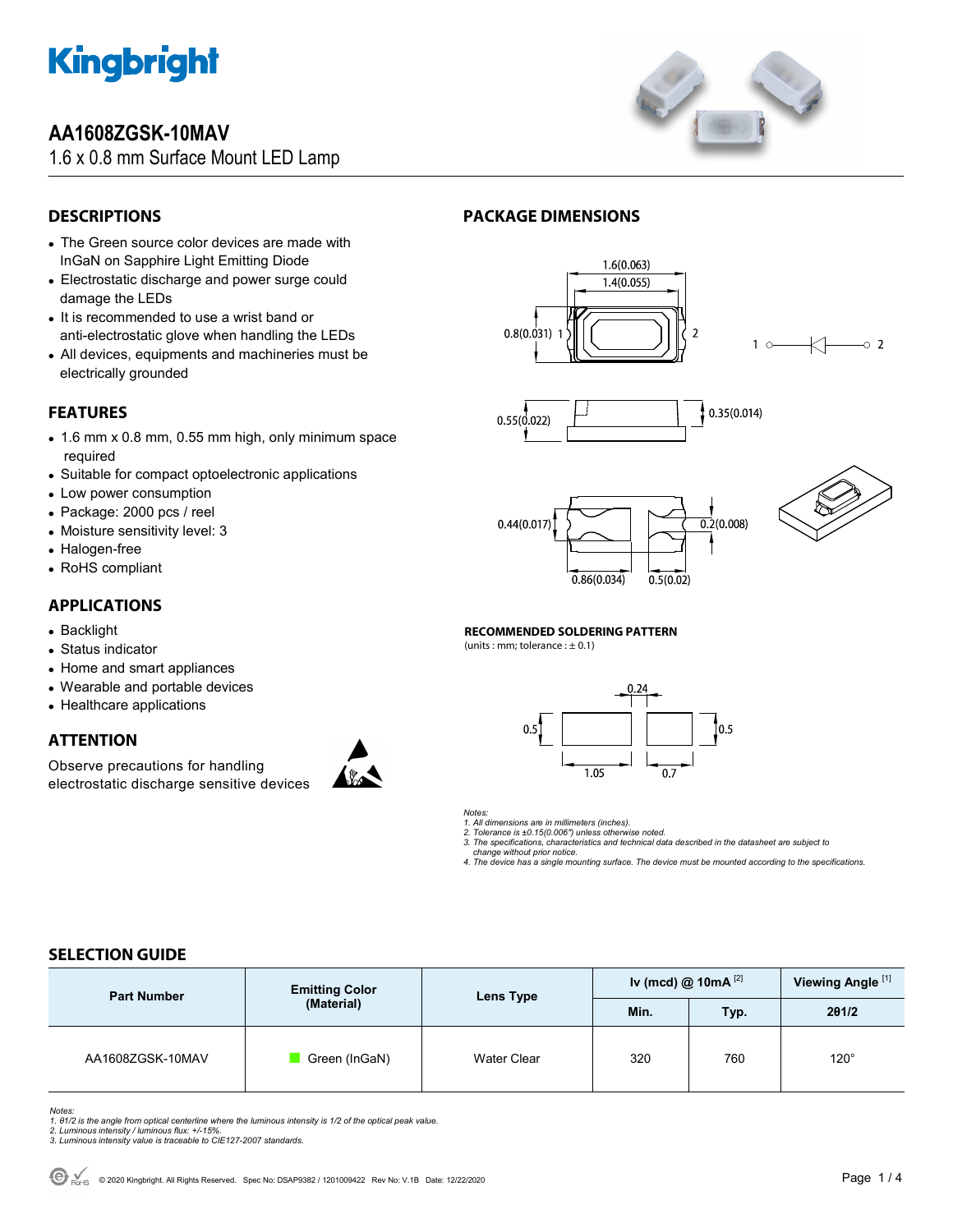

## **AA1608ZGSK-10MAV**

1.6 x 0.8 mm Surface Mount LED Lamp



## **DESCRIPTIONS**

- The Green source color devices are made with InGaN on Sapphire Light Emitting Diode
- Electrostatic discharge and power surge could damage the LEDs
- It is recommended to use a wrist band or anti-electrostatic glove when handling the LEDs
- All devices, equipments and machineries must be electrically grounded

## **FEATURES**

- 1.6 mm x 0.8 mm, 0.55 mm high, only minimum space required
- Suitable for compact optoelectronic applications
- Low power consumption
- Package: 2000 pcs / reel
- Moisture sensitivity level: 3
- Halogen-free
- RoHS compliant

## **APPLICATIONS**

- Backlight
- Status indicator
- Home and smart appliances
- Wearable and portable devices
- Healthcare applications

## **ATTENTION**

Observe precautions for handling electrostatic discharge sensitive devices



## **PACKAGE DIMENSIONS**









 $\circ$  2

#### **RECOMMENDED SOLDERING PATTERN**

(units : mm; tolerance  $: \pm 0.1$ )



*Notes:* 

*1. All dimensions are in millimeters (inches).* 

*2. Tolerance is ±0.15(0.006") unless otherwise noted. 3. The specifications, characteristics and technical data described in the datasheet are subject to* 

 *change without prior notice.* 

*4. The device has a single mounting surface. The device must be mounted according to the specifications.* 

## **SELECTION GUIDE**

| <b>Part Number</b> | <b>Emitting Color</b><br>(Material) | Lens Type   | Iv (mcd) @ 10mA $^{[2]}$ |      | Viewing Angle <sup>[1]</sup> |
|--------------------|-------------------------------------|-------------|--------------------------|------|------------------------------|
|                    |                                     |             | Min.                     | Typ. | 201/2                        |
| AA1608ZGSK-10MAV   | Green (InGaN)                       | Water Clear | 320                      | 760  | $120^\circ$                  |

Notes:<br>1. 81/2 is the angle from optical centerline where the luminous intensity is 1/2 of the optical peak value.<br>2. Luminous intensity / luminous flux: +/-15%.<br>3. Luminous intensity value is traceable to CIE127-2007 stan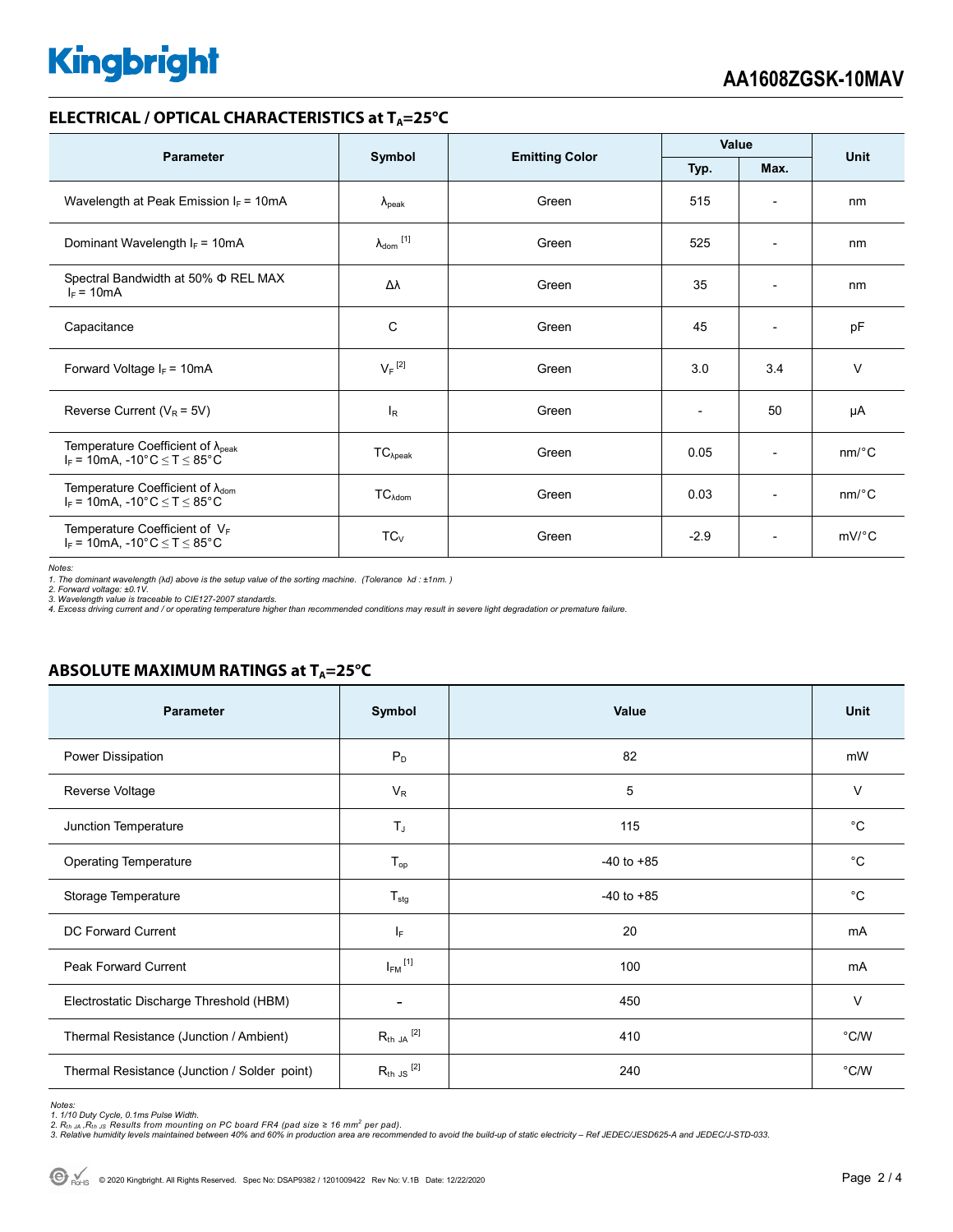# **Kingbright**

### **ELECTRICAL / OPTICAL CHARACTERISTICS at T<sub>A</sub>=25°C**

| <b>Parameter</b>                                                                           | Symbol                       | <b>Emitting Color</b> | Value        |                          | Unit     |
|--------------------------------------------------------------------------------------------|------------------------------|-----------------------|--------------|--------------------------|----------|
|                                                                                            |                              |                       | Max.<br>Typ. |                          |          |
| Wavelength at Peak Emission $I_F = 10mA$                                                   | $\lambda_{\rm peak}$         | Green                 | 515          | $\overline{\phantom{a}}$ | nm       |
| Dominant Wavelength $I_F = 10mA$                                                           | $\lambda_{\mathsf{dom}}$ [1] | Green                 | 525          | $\overline{\phantom{a}}$ | nm       |
| Spectral Bandwidth at 50% $\Phi$ REL MAX<br>$I_F = 10mA$                                   | Δλ                           | Green                 | 35           | $\overline{\phantom{0}}$ | nm       |
| Capacitance                                                                                | C                            | Green                 | 45           | $\overline{\phantom{a}}$ | pF       |
| Forward Voltage $I_F = 10mA$                                                               | $V_F$ <sup>[2]</sup>         | Green                 | 3.0          | 3.4                      | $\vee$   |
| Reverse Current ( $V_R$ = 5V)                                                              | $I_R$                        | Green                 |              | 50                       | μA       |
| Temperature Coefficient of $\lambda_{peak}$<br>$I_F$ = 10mA, -10°C $\le T \le 85$ °C       | $TC_{\lambda peak}$          | Green                 | 0.05         | $\overline{\phantom{a}}$ | nm/°C    |
| Temperature Coefficient of $\lambda_{\text{dom}}$<br>$I_F$ = 10mA, -10°C $\le T \le 85$ °C | $TC_{\lambda dom}$           | Green                 | 0.03         | $\overline{\phantom{a}}$ | $nm$ /°C |
| Temperature Coefficient of $V_F$<br>$I_F$ = 10mA, -10°C $\le T \le 85$ °C                  | $TC_V$                       | Green                 | $-2.9$       | $\overline{\phantom{a}}$ | $mV$ °C  |

*Notes:* 

1. The dominant wavelength (λd) above is the setup value of the sorting machine. (Tolerance λd : ±1nm. )<br>2. Forward voltage: ±0.1V.<br>3. Wavelength value is traceable to CIE127-2007 standards.<br>4. Excess driving current and

### **ABSOLUTE MAXIMUM RATINGS at TA=25°C**

| <b>Parameter</b>                             | Symbol                   | Value          | <b>Unit</b>    |
|----------------------------------------------|--------------------------|----------------|----------------|
| Power Dissipation                            | $P_D$                    | 82             | mW             |
| Reverse Voltage                              | $V_R$                    | 5              | V              |
| Junction Temperature                         | $T_{J}$                  | 115            | $^{\circ}C$    |
| <b>Operating Temperature</b>                 | $T_{op}$                 | $-40$ to $+85$ | $^{\circ}C$    |
| Storage Temperature                          | $T_{\text{stg}}$         | $-40$ to $+85$ | $^{\circ}C$    |
| DC Forward Current                           | IF.                      | 20             | mA             |
| Peak Forward Current                         | $I_{FM}$ <sup>[1]</sup>  | 100            | mA             |
| Electrostatic Discharge Threshold (HBM)      | $\overline{\phantom{0}}$ | 450            | $\vee$         |
| Thermal Resistance (Junction / Ambient)      | $R_{th}$ JA $^{[2]}$     | 410            | $^{\circ}$ C/W |
| Thermal Resistance (Junction / Solder point) | $R_{th}$ JS $^{[2]}$     | 240            | $^{\circ}$ C/W |

Notes:<br>1. 1/10 Duty Cycle, 0.1ms Pulse Width.<br>2. R<sub>th JA</sub> ,R<sub>th JS</sub> Results from mounting on PC board FR4 (pad size ≥ 16 mm<sup>2</sup> per pad).<br>3. Relative humidity levels maintained between 40% and 60% in production area are re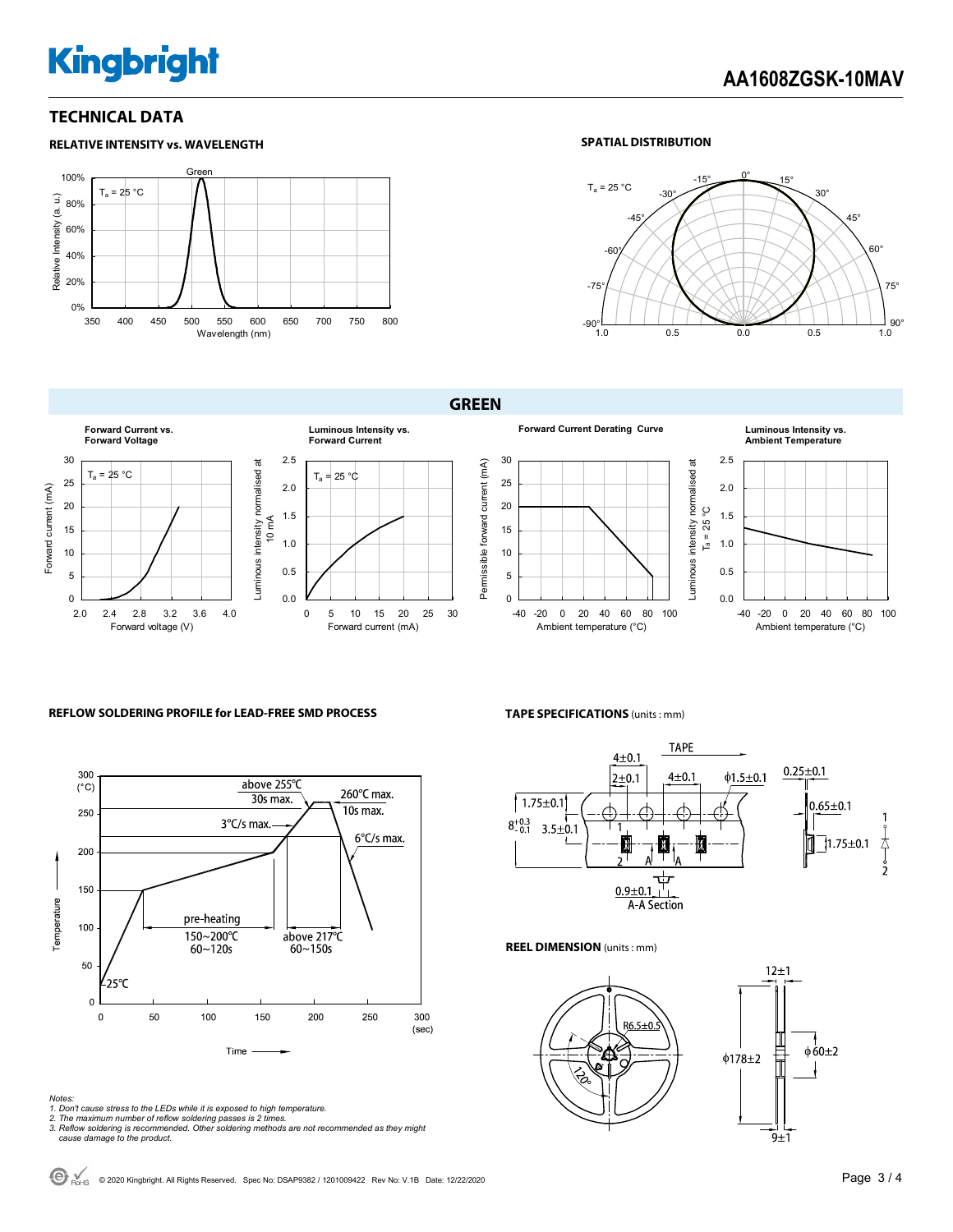# **Kingbright**

**RELATIVE INTENSITY vs. WAVELENGTH**

### **TECHNICAL DATA**

#### Green 100%  $T_a = 25 °C$ Relative Intensity (a. u.) Relative Intensity (a. u.) 80% 60% 40% 20% 0% 350 400 450 500 550 600 650 700 750 800 Wavelength (nm)

#### **SPATIAL DISTRIBUTION**



#### **GREEN**











#### **REFLOW SOLDERING PROFILE for LEAD-FREE SMD PROCESS**



#### *Notes:*

- 
- *1. Don't cause stress to the LEDs while it is exposed to high temperature. 2. The maximum number of reflow soldering passes is 2 times.*

*3. Reflow soldering is recommended. Other soldering methods are not recommended as they might cause damage to the product.* 

#### **TAPE SPECIFICATIONS** (units : mm)



**REEL DIMENSION** (units : mm)